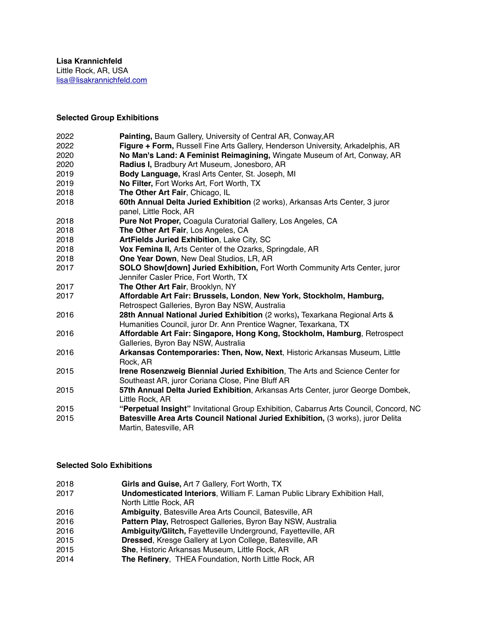# **Selected Group Exhibitions**

| 2022 | Painting, Baum Gallery, University of Central AR, Conway, AR                                                                     |
|------|----------------------------------------------------------------------------------------------------------------------------------|
| 2022 | Figure + Form, Russell Fine Arts Gallery, Henderson University, Arkadelphis, AR                                                  |
| 2020 | No Man's Land: A Feminist Reimagining, Wingate Museum of Art, Conway, AR                                                         |
| 2020 | Radius I, Bradbury Art Museum, Jonesboro, AR                                                                                     |
| 2019 | Body Language, Krasl Arts Center, St. Joseph, MI                                                                                 |
| 2019 | No Filter, Fort Works Art, Fort Worth, TX                                                                                        |
| 2018 | The Other Art Fair, Chicago, IL                                                                                                  |
| 2018 | 60th Annual Delta Juried Exhibition (2 works), Arkansas Arts Center, 3 juror<br>panel, Little Rock, AR                           |
| 2018 | Pure Not Proper, Coagula Curatorial Gallery, Los Angeles, CA                                                                     |
| 2018 | The Other Art Fair, Los Angeles, CA                                                                                              |
| 2018 | ArtFields Juried Exhibition, Lake City, SC                                                                                       |
| 2018 | Vox Femina II, Arts Center of the Ozarks, Springdale, AR                                                                         |
| 2018 | One Year Down, New Deal Studios, LR, AR                                                                                          |
| 2017 | <b>SOLO Show[down] Juried Exhibition, Fort Worth Community Arts Center, juror</b>                                                |
|      | Jennifer Casler Price, Fort Worth, TX                                                                                            |
| 2017 | The Other Art Fair, Brooklyn, NY                                                                                                 |
| 2017 | Affordable Art Fair: Brussels, London, New York, Stockholm, Hamburg,                                                             |
|      | Retrospect Galleries, Byron Bay NSW, Australia                                                                                   |
| 2016 | 28th Annual National Juried Exhibition (2 works), Texarkana Regional Arts &                                                      |
|      | Humanities Council, juror Dr. Ann Prentice Wagner, Texarkana, TX                                                                 |
| 2016 | Affordable Art Fair: Singapore, Hong Kong, Stockholm, Hamburg, Retrospect<br>Galleries, Byron Bay NSW, Australia                 |
| 2016 | Arkansas Contemporaries: Then, Now, Next, Historic Arkansas Museum, Little<br>Rock, AR                                           |
| 2015 | Irene Rosenzweig Biennial Juried Exhibition, The Arts and Science Center for<br>Southeast AR, juror Coriana Close, Pine Bluff AR |
| 2015 | 57th Annual Delta Juried Exhibition, Arkansas Arts Center, juror George Dombek,                                                  |
|      | Little Rock, AR                                                                                                                  |
| 2015 | "Perpetual Insight" Invitational Group Exhibition, Cabarrus Arts Council, Concord, NC                                            |
| 2015 | Batesville Area Arts Council National Juried Exhibition, (3 works), juror Delita                                                 |
|      | Martin, Batesville, AR                                                                                                           |

## **Selected Solo Exhibitions**

| 2018 | Girls and Guise, Art 7 Gallery, Fort Worth, TX                                    |
|------|-----------------------------------------------------------------------------------|
| 2017 | <b>Undomesticated Interiors, William F. Laman Public Library Exhibition Hall,</b> |
|      | North Little Rock, AR                                                             |
| 2016 | <b>Ambiguity, Batesville Area Arts Council, Batesville, AR</b>                    |
| 2016 | Pattern Play, Retrospect Galleries, Byron Bay NSW, Australia                      |
| 2016 | Ambiguity/Glitch, Fayetteville Underground, Fayetteville, AR                      |
| 2015 | Dressed, Kresge Gallery at Lyon College, Batesville, AR                           |
| 2015 | She, Historic Arkansas Museum, Little Rock, AR                                    |
| 2014 | The Refinery, THEA Foundation, North Little Rock, AR                              |